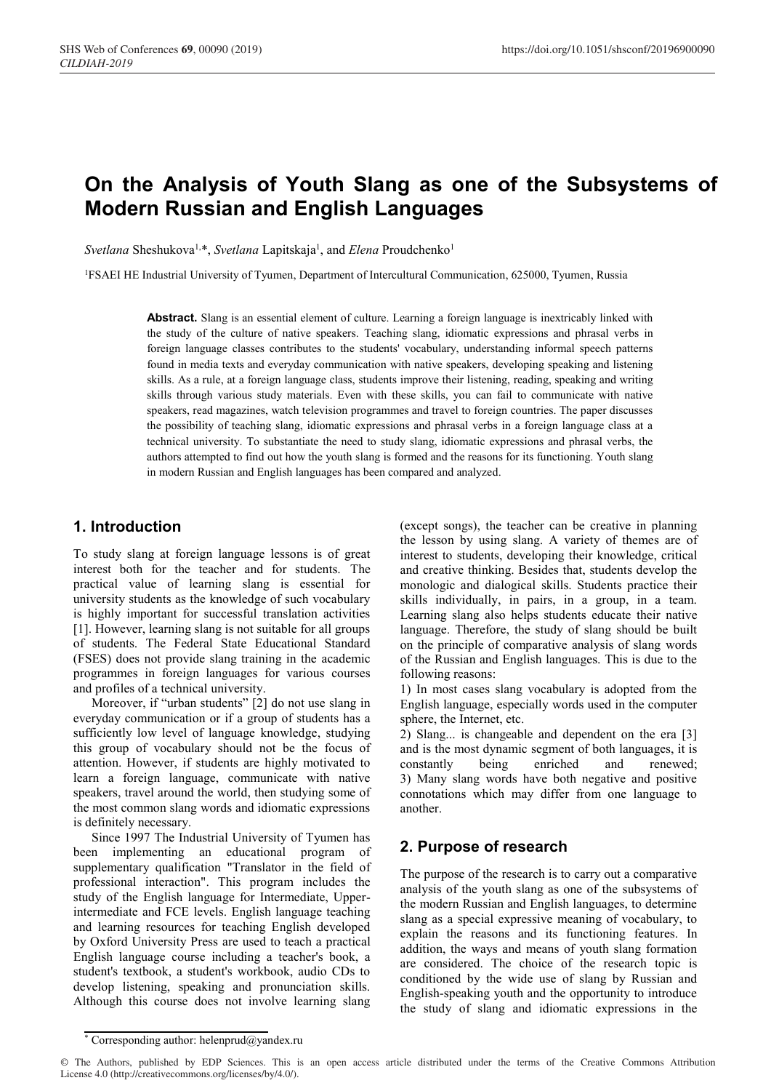# **On the Analysis of Youth Slang as one of the Subsystems of Modern Russian and English Languages**

Svetlana Sheshukova<sup>1,\*</sup>, *Svetlana* Lapitskaja<sup>1</sup>, and *Elena* Proudchenko<sup>1</sup>

1FSAEI HE Industrial University of Tyumen, Department of Intercultural Communication, 625000, Tyumen, Russia

**Abstract.** Slang is an essential element of culture. Learning a foreign language is inextricably linked with the study of the culture of native speakers. Teaching slang, idiomatic expressions and phrasal verbs in foreign language classes contributes to the students' vocabulary, understanding informal speech patterns found in media texts and everyday communication with native speakers, developing speaking and listening skills. As a rule, at a foreign language class, students improve their listening, reading, speaking and writing skills through various study materials. Even with these skills, you can fail to communicate with native speakers, read magazines, watch television programmes and travel to foreign countries. The paper discusses the possibility of teaching slang, idiomatic expressions and phrasal verbs in a foreign language class at a technical university. To substantiate the need to study slang, idiomatic expressions and phrasal verbs, the authors attempted to find out how the youth slang is formed and the reasons for its functioning. Youth slang in modern Russian and English languages has been compared and analyzed.

# **1. Introduction**

To study slang at foreign language lessons is of great interest both for the teacher and for students. The practical value of learning slang is essential for university students as the knowledge of such vocabulary is highly important for successful translation activities [1]. However, learning slang is not suitable for all groups of students. The Federal State Educational Standard (FSES) does not provide slang training in the academic programmes in foreign languages for various courses and profiles of a technical university.

Moreover, if "urban students" [2] do not use slang in everyday communication or if a group of students has a sufficiently low level of language knowledge, studying this group of vocabulary should not be the focus of attention. However, if students are highly motivated to learn a foreign language, communicate with native speakers, travel around the world, then studying some of the most common slang words and idiomatic expressions is definitely necessary.

Since 1997 The Industrial University of Tyumen has been implementing an educational program of supplementary qualification "Translator in the field of professional interaction". This program includes the study of the English language for Intermediate, Upperintermediate and FCE levels. English language teaching and learning resources for teaching English developed by Oxford University Press are used to teach a practical English language course including a teacher's book, a student's textbook, a student's workbook, audio CDs to develop listening, speaking and pronunciation skills. Although this course does not involve learning slang

(except songs), the teacher can be creative in planning the lesson by using slang. A variety of themes are of interest to students, developing their knowledge, critical and creative thinking. Besides that, students develop the monologic and dialogical skills. Students practice their skills individually, in pairs, in a group, in a team. Learning slang also helps students educate their native language. Therefore, the study of slang should be built on the principle of comparative analysis of slang words of the Russian and English languages. This is due to the following reasons:

1) In most cases slang vocabulary is adopted from the English language, especially words used in the computer sphere, the Internet, etc.

2) Slang... is changeable and dependent on the era [3] and is the most dynamic segment of both languages, it is constantly being enriched and renewed; 3) Many slang words have both negative and positive connotations which may differ from one language to another.

# **2. Purpose of research**

The purpose of the research is to carry out a comparative analysis of the youth slang as one of the subsystems of the modern Russian and English languages, to determine slang as a special expressive meaning of vocabulary, to explain the reasons and its functioning features. In addition, the ways and means of youth slang formation are considered. The choice of the research topic is conditioned by the wide use of slang by Russian and English-speaking youth and the opportunity to introduce the study of slang and idiomatic expressions in the

<sup>\*</sup> Corresponding author: helenprud@yandex.ru

<sup>©</sup> The Authors, published by EDP Sciences. This is an open access article distributed under the terms of the Creative Commons Attribution License 4.0 (http://creativecommons.org/licenses/by/4.0/).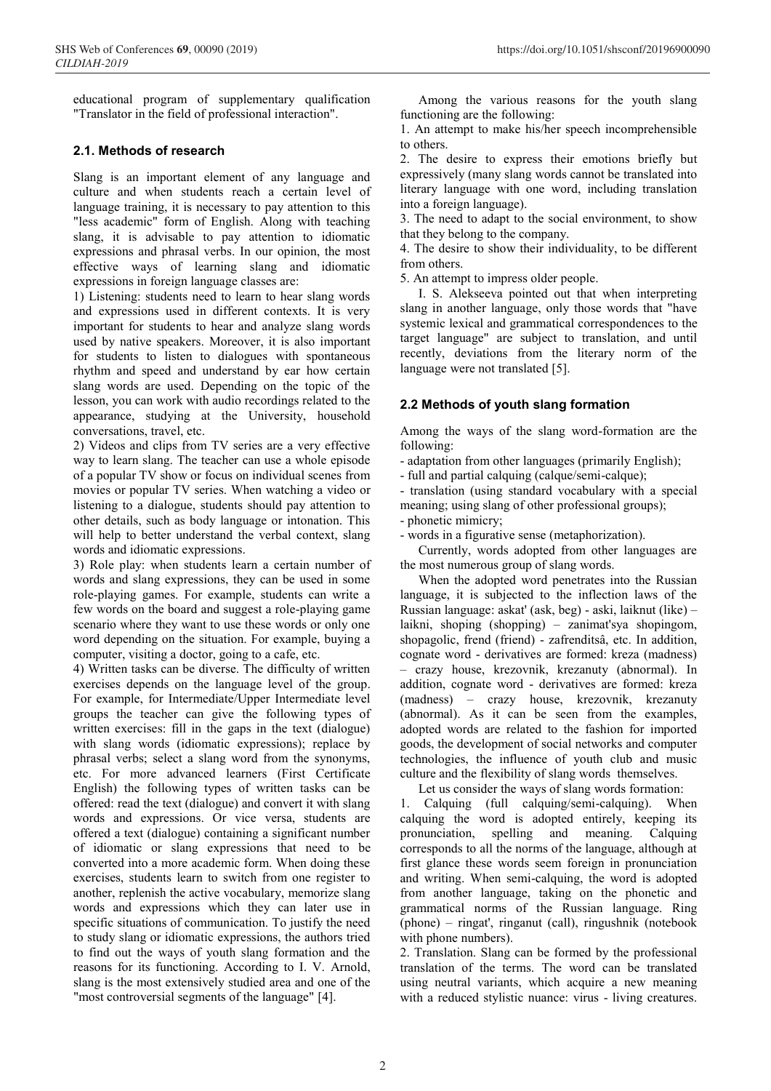educational program of supplementary qualification "Translator in the field of professional interaction".

#### **2.1. Methods of research**

Slang is an important element of any language and culture and when students reach a certain level of language training, it is necessary to pay attention to this "less academic" form of English. Along with teaching slang, it is advisable to pay attention to idiomatic expressions and phrasal verbs. In our opinion, the most effective ways of learning slang and idiomatic expressions in foreign language classes are:

1) Listening: students need to learn to hear slang words and expressions used in different contexts. It is very important for students to hear and analyze slang words used by native speakers. Moreover, it is also important for students to listen to dialogues with spontaneous rhythm and speed and understand by ear how certain slang words are used. Depending on the topic of the lesson, you can work with audio recordings related to the appearance, studying at the University, household conversations, travel, etc.

2) Videos and clips from TV series are a very effective way to learn slang. The teacher can use a whole episode of a popular TV show or focus on individual scenes from movies or popular TV series. When watching a video or listening to a dialogue, students should pay attention to other details, such as body language or intonation. This will help to better understand the verbal context, slang words and idiomatic expressions.

3) Role play: when students learn a certain number of words and slang expressions, they can be used in some role-playing games. For example, students can write a few words on the board and suggest a role-playing game scenario where they want to use these words or only one word depending on the situation. For example, buying a computer, visiting a doctor, going to a cafe, etc.

4) Written tasks can be diverse. The difficulty of written exercises depends on the language level of the group. For example, for Intermediate/Upper Intermediate level groups the teacher can give the following types of written exercises: fill in the gaps in the text (dialogue) with slang words (idiomatic expressions); replace by phrasal verbs; select a slang word from the synonyms, etc. For more advanced learners (First Certificate English) the following types of written tasks can be offered: read the text (dialogue) and convert it with slang words and expressions. Or vice versa, students are offered a text (dialogue) containing a significant number of idiomatic or slang expressions that need to be converted into a more academic form. When doing these exercises, students learn to switch from one register to another, replenish the active vocabulary, memorize slang words and expressions which they can later use in specific situations of communication. To justify the need to study slang or idiomatic expressions, the authors tried to find out the ways of youth slang formation and the reasons for its functioning. According to I. V. Arnold, slang is the most extensively studied area and one of the "most controversial segments of the language" [4].

Among the various reasons for the youth slang functioning are the following:

1. An attempt to make his/her speech incomprehensible to others.

2. The desire to express their emotions briefly but expressively (many slang words cannot be translated into literary language with one word, including translation into a foreign language).

3. The need to adapt to the social environment, to show that they belong to the company.

4. The desire to show their individuality, to be different from others.

5. An attempt to impress older people.

I. S. Alekseeva pointed out that when interpreting slang in another language, only those words that "have systemic lexical and grammatical correspondences to the target language" are subject to translation, and until recently, deviations from the literary norm of the language were not translated [5].

## **2.2 Methods of youth slang formation**

Among the ways of the slang word-formation are the following:

- adaptation from other languages (primarily English);

- full and partial calquing (calque/semi-calque);

- translation (using standard vocabulary with a special meaning; using slang of other professional groups);

- phonetic mimicry;

- words in a figurative sense (metaphorization).

Currently, words adopted from other languages are the most numerous group of slang words.

When the adopted word penetrates into the Russian language, it is subjected to the inflection laws of the Russian language: askat' (ask, beg) - aski, laiknut (like) – laikni, shoping (shopping) – zanimat'sya shopingom, shopagolic, frend (friend) - zafrenditsâ, etc. In addition, cognate word - derivatives are formed: kreza (madness) – crazy house, krezovnik, krezanuty (abnormal). In addition, cognate word - derivatives are formed: kreza (madness) – crazy house, krezovnik, krezanuty (abnormal). As it can be seen from the examples, adopted words are related to the fashion for imported goods, the development of social networks and computer technologies, the influence of youth club and music culture and the flexibility of slang words themselves.

Let us consider the ways of slang words formation:

1. Calquing (full calquing/semi-calquing). When calquing the word is adopted entirely, keeping its pronunciation, spelling and meaning. Calquing corresponds to all the norms of the language, although at first glance these words seem foreign in pronunciation and writing. When semi-calquing, the word is adopted from another language, taking on the phonetic and grammatical norms of the Russian language. Ring (phone) – ringat', ringanut (call), ringushnik (notebook with phone numbers).

2. Translation. Slang can be formed by the professional translation of the terms. The word can be translated using neutral variants, which acquire a new meaning with a reduced stylistic nuance: virus - living creatures.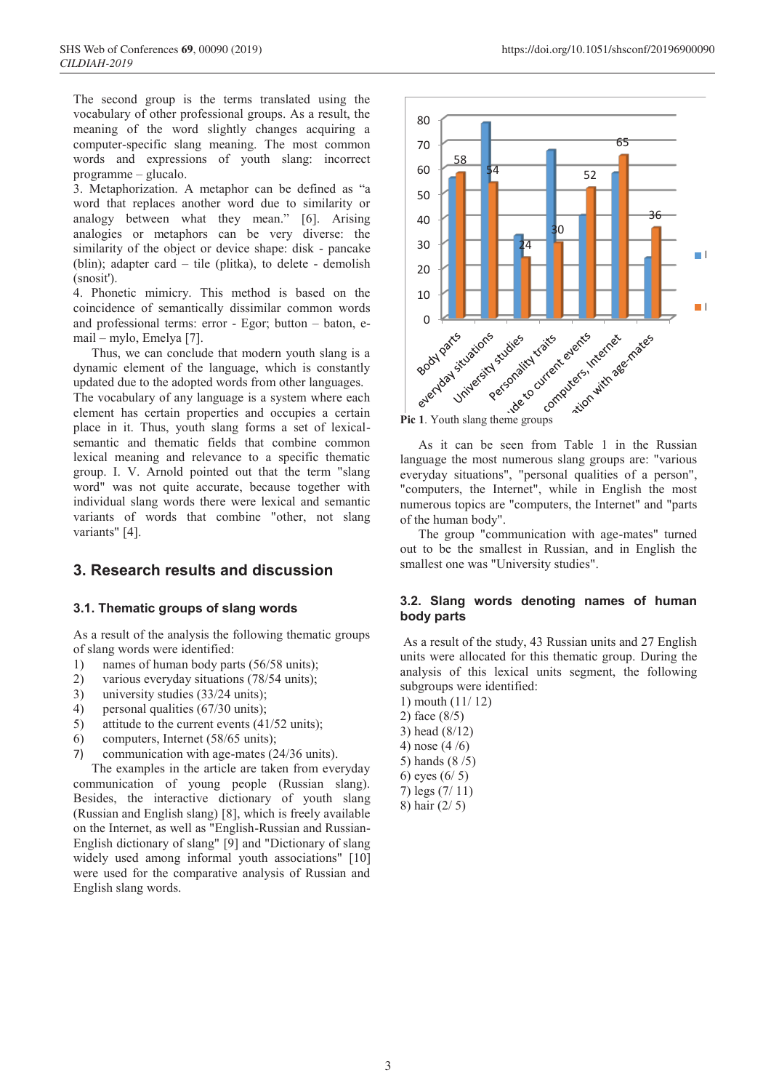The second group is the terms translated using the vocabulary of other professional groups. As a result, the meaning of the word slightly changes acquiring a computer-specific slang meaning. The most common words and expressions of youth slang: incorrect programme – glucalo.

3. Metaphorization. A metaphor can be defined as "a word that replaces another word due to similarity or analogy between what they mean." [6]. Arising analogies or metaphors can be very diverse: the similarity of the object or device shape: disk - pancake (blin); adapter card – tile (plitka), to delete - demolish (snosit').

4. Phonetic mimicry. This method is based on the coincidence of semantically dissimilar common words and professional terms: error - Egor; button – baton, email – mylo, Emelya [7].

Thus, we can conclude that modern youth slang is a dynamic element of the language, which is constantly updated due to the adopted words from other languages. The vocabulary of any language is a system where each element has certain properties and occupies a certain place in it. Thus, youth slang forms a set of lexicalsemantic and thematic fields that combine common lexical meaning and relevance to a specific thematic group. I. V. Arnold pointed out that the term "slang word" was not quite accurate, because together with individual slang words there were lexical and semantic variants of words that combine "other, not slang variants" [4].

# **3. Research results and discussion**

#### **3.1. Thematic groups of slang words**

As a result of the analysis the following thematic groups of slang words were identified:

- 1) names of human body parts (56/58 units);
- 2) various everyday situations (78/54 units);
- 3) university studies (33/24 units);
- 4) personal qualities (67/30 units);
- 5) attitude to the current events (41/52 units);
- 6) computers, Internet (58/65 units);
- 7) communication with age-mates (24/36 units).

The examples in the article are taken from everyday communication of young people (Russian slang). Besides, the interactive dictionary of youth slang (Russian and English slang) [8], which is freely available on the Internet, as well as "English-Russian and Russian-English dictionary of slang" [9] and "Dictionary of slang widely used among informal youth associations" [10] were used for the comparative analysis of Russian and English slang words.



As it can be seen from Table 1 in the Russian language the most numerous slang groups are: "various everyday situations", "personal qualities of a person", "computers, the Internet", while in English the most numerous topics are "computers, the Internet" and "parts of the human body".

The group "communication with age-mates" turned out to be the smallest in Russian, and in English the smallest one was "University studies".

#### **3.2. Slang words denoting names of human body parts**

As a result of the study, 43 Russian units and 27 English units were allocated for this thematic group. During the analysis of this lexical units segment, the following subgroups were identified:

- 1) mouth (11/ 12) 2) face (8/5) 3) head (8/12) 4) nose (4 /6) 5) hands (8 /5) 6) eyes (6/ 5) 7) legs (7/ 11)
- 8) hair (2/ 5)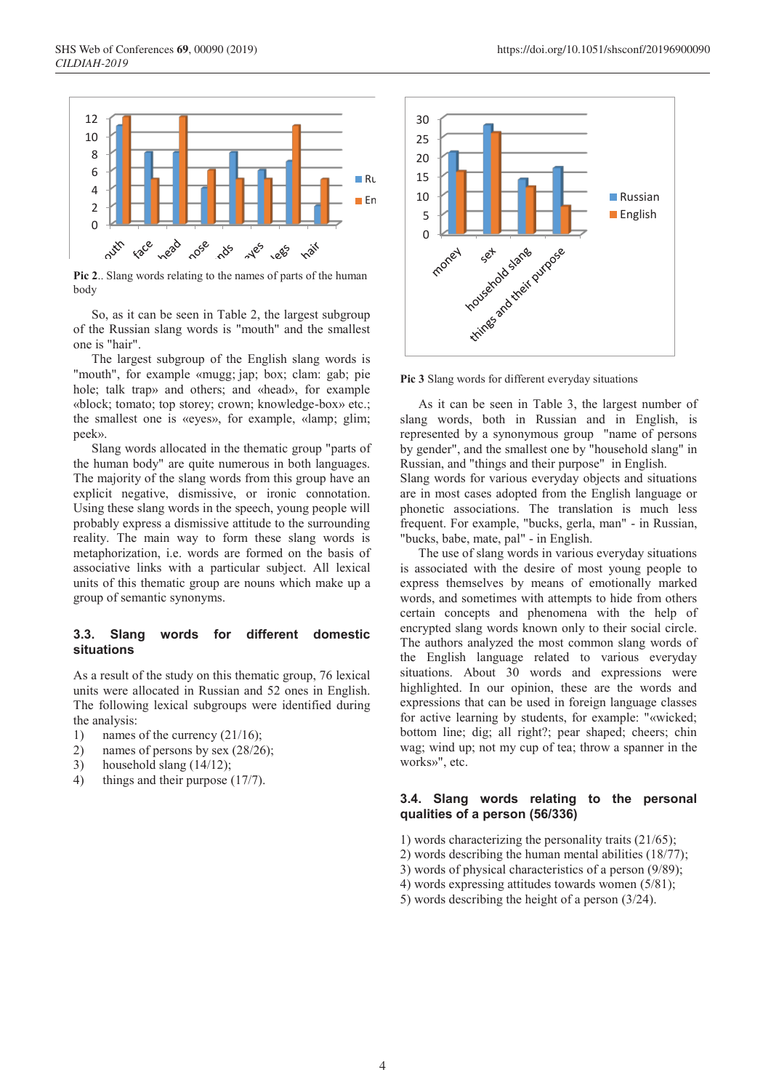

**Pic 2**.. Slang words relating to the names of parts of the human body

So, as it can be seen in Table 2, the largest subgroup of the Russian slang words is "mouth" and the smallest one is "hair".

The largest subgroup of the English slang words is "mouth", for example «mugg; jap; box; clam: gab; pie hole; talk trap» and others; and «head», for example «block; tomato; top storey; crown; knowledge-box» etc.; the smallest one is «eyes», for example, «lamp; glim; peek».

Slang words allocated in the thematic group "parts of the human body" are quite numerous in both languages. The majority of the slang words from this group have an explicit negative, dismissive, or ironic connotation. Using these slang words in the speech, young people will probably express a dismissive attitude to the surrounding reality. The main way to form these slang words is metaphorization, i.e. words are formed on the basis of associative links with a particular subject. All lexical units of this thematic group are nouns which make up a group of semantic synonyms.

#### **3.3. Slang words for different domestic situations**

As a result of the study on this thematic group, 76 lexical units were allocated in Russian and 52 ones in English. The following lexical subgroups were identified during the analysis:

- 1) names of the currency (21/16);
- 2) names of persons by sex (28/26);
- 3) household slang (14/12);
- 4) things and their purpose (17/7).



**Pic 3** Slang words for different everyday situations

As it can be seen in Table 3, the largest number of slang words, both in Russian and in English, is represented by a synonymous group "name of persons by gender", and the smallest one by "household slang" in Russian, and "things and their purpose" in English. Slang words for various everyday objects and situations are in most cases adopted from the English language or phonetic associations. The translation is much less frequent. For example, "bucks, gerla, man" - in Russian,

"bucks, babe, mate, pal" - in English. The use of slang words in various everyday situations is associated with the desire of most young people to express themselves by means of emotionally marked words, and sometimes with attempts to hide from others certain concepts and phenomena with the help of encrypted slang words known only to their social circle. The authors analyzed the most common slang words of the English language related to various everyday situations. About 30 words and expressions were highlighted. In our opinion, these are the words and expressions that can be used in foreign language classes for active learning by students, for example: "«wicked; bottom line; dig; all right?; pear shaped; cheers; chin wag; wind up; not my cup of tea; throw a spanner in the works»", etc.

#### **3.4. Slang words relating to the personal qualities of a person (56/336)**

1) words characterizing the personality traits (21/65);

- 2) words describing the human mental abilities (18/77);
- 3) words of physical characteristics of a person (9/89);
- 4) words expressing attitudes towards women (5/81);
- 5) words describing the height of a person (3/24).